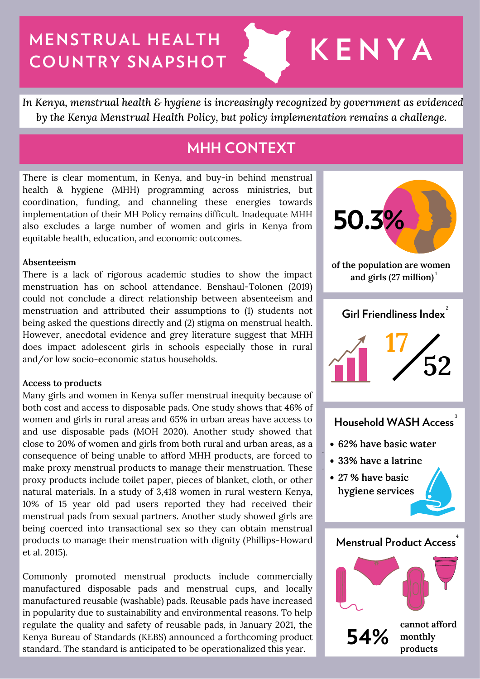# **MENSTRUAL HEALTH COUNTRY SNAPSHOT & KENYA**

*In Kenya, menstrual health & hygiene is increasingly recognized by government as evidenced by the Kenya Menstrual Health Policy, but policy implementation remains a challenge.*

# **MHH CONTEXT**

There is clear momentum, in Kenya, and buy-in behind menstrual health & hygiene (MHH) programming across ministries, but coordination, funding, and channeling these energies towards implementation of their MH Policy remains difficult. Inadequate MHH also excludes a large number of women and girls in Kenya from equitable health, education, and economic outcomes.

#### **Absenteeism**

There is a lack of rigorous academic studies to show the impact menstruation has on school attendance. Benshaul-Tolonen (2019) could not conclude a direct relationship between absenteeism and menstruation and attributed their assumptions to (1) students not being asked the questions directly and (2) stigma on menstrual health. However, anecdotal evidence and grey literature suggest that MHH does impact adolescent girls in schools especially those in rural and/or low socio-economic status households.

#### **Access to products**

Many girls and women in Kenya suffer menstrual inequity because of both cost and access to disposable pads. One study shows that 46% of women and girls in rural areas and 65% in urban areas have access to and use disposable pads (MOH 2020). Another study showed that close to 20% of women and girls from both rural and urban areas, as a consequence of being unable to afford MHH products, are forced to make proxy menstrual products to manage their menstruation. These proxy products include toilet paper, pieces of blanket, cloth, or other natural materials. In a study of 3,418 women in rural western Kenya, 10% of 15 year old pad users reported they had received their menstrual pads from sexual partners. Another study showed girls are being coerced into transactional sex so they can obtain menstrual products to manage their menstruation with dignity (Phillips-Howard et al. 2015).

Commonly promoted menstrual products include commercially manufactured disposable pads and menstrual cups, and locally manufactured reusable (washable) pads. Reusable pads have increased in popularity due to sustainability and environmental reasons. To help regulate the quality and safety of reusable pads, in January 2021, the Kenya Bureau of Standards (KEBS) announced a forthcoming product standard. The standard is anticipated to be operationalized this year.

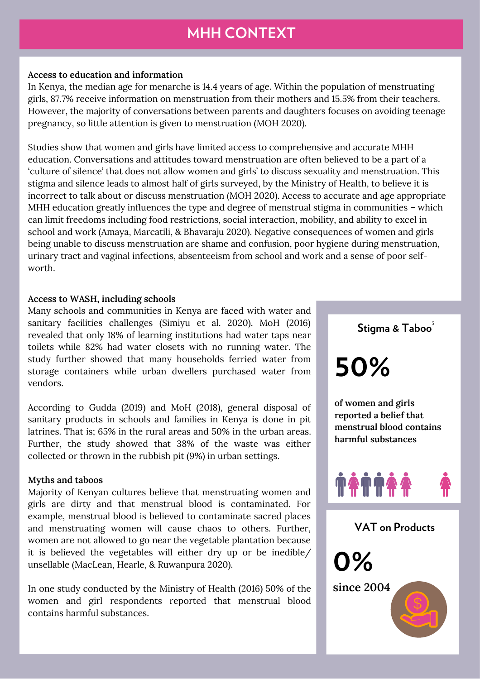# **MHH CONTEXT**

#### **Access to education and information**

In Kenya, the median age for menarche is 14.4 years of age. Within the population of menstruating girls, 87.7% receive information on menstruation from their mothers and 15.5% from their teachers. However, the majority of conversations between parents and daughters focuses on avoiding teenage pregnancy, so little attention is given to menstruation (MOH 2020).

Studies show that women and girls have limited access to comprehensive and accurate MHH education. Conversations and attitudes toward menstruation are often believed to be a part of a 'culture of silence' that does not allow women and girls' to discuss sexuality and menstruation. This stigma and silence leads to almost half of girls surveyed, by the Ministry of Health, to believe it is incorrect to talk about or discuss menstruation (MOH 2020). Access to accurate and age appropriate MHH education greatly influences the type and degree of menstrual stigma in communities – which can limit freedoms including food restrictions, social interaction, mobility, and ability to excel in school and work (Amaya, Marcatili, & Bhavaraju 2020). Negative consequences of women and girls being unable to discuss menstruation are shame and confusion, poor hygiene during menstruation, urinary tract and vaginal infections, absenteeism from school and work and a sense of poor selfworth.

#### **Access to WASH, including schools**

Many schools and communities in Kenya are faced with water and sanitary facilities challenges (Simiyu et al. 2020). MoH (2016) revealed that only 18% of learning institutions had water taps near toilets while 82% had water closets with no running water. The study further showed that many households ferried water from storage containers while urban dwellers purchased water from vendors.

According to Gudda (2019) and MoH (2018), general disposal of sanitary products in schools and families in Kenya is done in pit latrines. That is; 65% in the rural areas and 50% in the urban areas. Further, the study showed that 38% of the waste was either collected or thrown in the rubbish pit (9%) in urban settings.

#### **Myths and taboos**

Majority of Kenyan cultures believe that menstruating women and girls are dirty and that menstrual blood is contaminated. For example, menstrual blood is believed to contaminate sacred places and menstruating women will cause chaos to others. Further, women are not allowed to go near the vegetable plantation because it is believed the vegetables will either dry up or be inedible/ unsellable (MacLean, Hearle, & Ruwanpura 2020).

In one study conducted by the Ministry of Health (2016) 50% of the women and girl respondents reported that menstrual blood contains harmful substances.

**Stigma & Taboo** 5

**50%**

**0%**

**of women and girls reported a belief that menstrual blood contains harmful substances**



**VAT on Products**